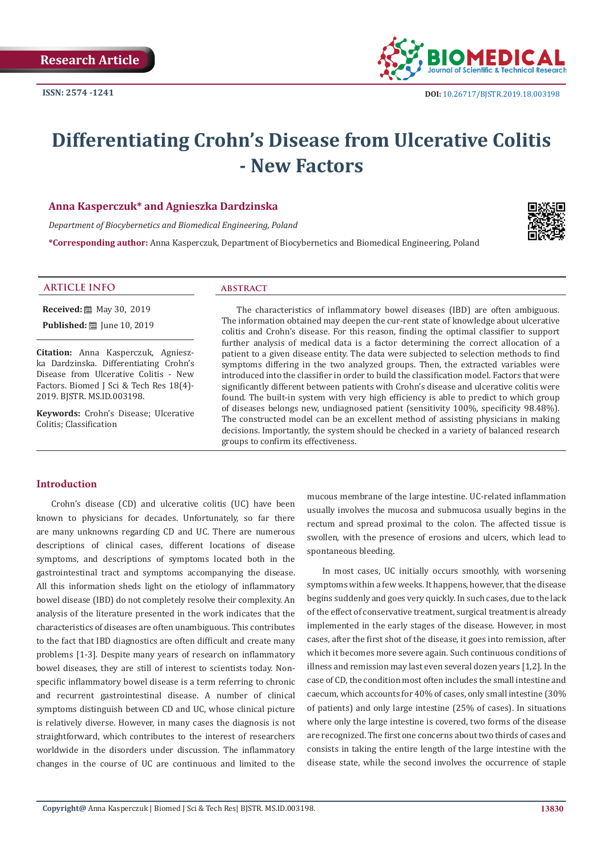

# **Differentiating Crohn's Disease from Ulcerative Colitis - New Factors**

# **Anna Kasperczuk\* and Agnieszka Dardzinska**

*Department of Biocybernetics and Biomedical Engineering, Poland* 

**\*Corresponding author:** Anna Kasperczuk, Department of Biocybernetics and Biomedical Engineering, Poland



**Received:** 圖 May 30, 2019

**Published:** ■ June 10, 2019

**Citation:** Anna Kasperczuk, Agnieszka Dardzinska. Differentiating Crohn's Disease from Ulcerative Colitis - New Factors. Biomed J Sci & Tech Res 18(4)-2019. BJSTR. MS.ID.003198.

**Keywords:** Crohn's Disease; Ulcerative Colitis; Classification

The characteristics of inflammatory bowel diseases (IBD) are often ambiguous. The information obtained may deepen the cur-rent state of knowledge about ulcerative colitis and Crohn's disease. For this reason, finding the optimal classifier to support further analysis of medical data is a factor determining the correct allocation of a patient to a given disease entity. The data were subjected to selection methods to find symptoms differing in the two analyzed groups. Then, the extracted variables were introduced into the classifier in order to build the classification model. Factors that were significantly different between patients with Crohn's disease and ulcerative colitis were found. The built-in system with very high efficiency is able to predict to which group of diseases belongs new, undiagnosed patient (sensitivity 100%, specificity 98.48%). The constructed model can be an excellent method of assisting physicians in making decisions. Importantly, the system should be checked in a variety of balanced research groups to confirm its effectiveness.

# **Introduction**

Crohn's disease (CD) and ulcerative colitis (UC) have been known to physicians for decades. Unfortunately, so far there are many unknowns regarding CD and UC. There are numerous descriptions of clinical cases, different locations of disease symptoms, and descriptions of symptoms located both in the gastrointestinal tract and symptoms accompanying the disease. All this information sheds light on the etiology of inflammatory bowel disease (IBD) do not completely resolve their complexity. An analysis of the literature presented in the work indicates that the characteristics of diseases are often unambiguous. This contributes to the fact that IBD diagnostics are often difficult and create many problems [1-3]. Despite many years of research on inflammatory bowel diseases, they are still of interest to scientists today. Nonspecific inflammatory bowel disease is a term referring to chronic and recurrent gastrointestinal disease. A number of clinical symptoms distinguish between CD and UC, whose clinical picture is relatively diverse. However, in many cases the diagnosis is not straightforward, which contributes to the interest of researchers worldwide in the disorders under discussion. The inflammatory changes in the course of UC are continuous and limited to the mucous membrane of the large intestine. UC-related inflammation usually involves the mucosa and submucosa usually begins in the rectum and spread proximal to the colon. The affected tissue is swollen, with the presence of erosions and ulcers, which lead to spontaneous bleeding.

In most cases, UC initially occurs smoothly, with worsening symptoms within a few weeks. It happens, however, that the disease begins suddenly and goes very quickly. In such cases, due to the lack of the effect of conservative treatment, surgical treatment is already implemented in the early stages of the disease. However, in most cases, after the first shot of the disease, it goes into remission, after which it becomes more severe again. Such continuous conditions of illness and remission may last even several dozen years [1,2]. In the case of CD, the condition most often includes the small intestine and caecum, which accounts for 40% of cases, only small intestine (30% of patients) and only large intestine (25% of cases). In situations where only the large intestine is covered, two forms of the disease are recognized. The first one concerns about two thirds of cases and consists in taking the entire length of the large intestine with the disease state, while the second involves the occurrence of staple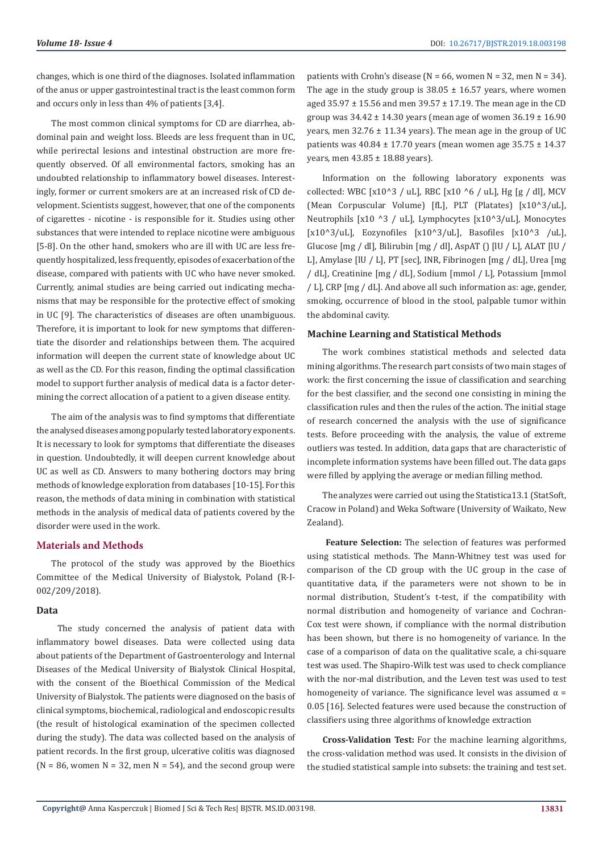changes, which is one third of the diagnoses. Isolated inflammation of the anus or upper gastrointestinal tract is the least common form and occurs only in less than 4% of patients [3,4].

The most common clinical symptoms for CD are diarrhea, abdominal pain and weight loss. Bleeds are less frequent than in UC, while perirectal lesions and intestinal obstruction are more frequently observed. Of all environmental factors, smoking has an undoubted relationship to inflammatory bowel diseases. Interestingly, former or current smokers are at an increased risk of CD development. Scientists suggest, however, that one of the components of cigarettes - nicotine - is responsible for it. Studies using other substances that were intended to replace nicotine were ambiguous [5-8]. On the other hand, smokers who are ill with UC are less frequently hospitalized, less frequently, episodes of exacerbation of the disease, compared with patients with UC who have never smoked. Currently, animal studies are being carried out indicating mechanisms that may be responsible for the protective effect of smoking in UC [9]. The characteristics of diseases are often unambiguous. Therefore, it is important to look for new symptoms that differentiate the disorder and relationships between them. The acquired information will deepen the current state of knowledge about UC as well as the CD. For this reason, finding the optimal classification model to support further analysis of medical data is a factor determining the correct allocation of a patient to a given disease entity.

The aim of the analysis was to find symptoms that differentiate the analysed diseases among popularly tested laboratory exponents. It is necessary to look for symptoms that differentiate the diseases in question. Undoubtedly, it will deepen current knowledge about UC as well as CD. Answers to many bothering doctors may bring methods of knowledge exploration from databases [10-15]. For this reason, the methods of data mining in combination with statistical methods in the analysis of medical data of patients covered by the disorder were used in the work.

#### **Materials and Methods**

The protocol of the study was approved by the Bioethics Committee of the Medical University of Bialystok, Poland (R-I-002/209/2018).

#### **Data**

 The study concerned the analysis of patient data with inflammatory bowel diseases. Data were collected using data about patients of the Department of Gastroenterology and Internal Diseases of the Medical University of Bialystok Clinical Hospital, with the consent of the Bioethical Commission of the Medical University of Bialystok. The patients were diagnosed on the basis of clinical symptoms, biochemical, radiological and endoscopic results (the result of histological examination of the specimen collected during the study). The data was collected based on the analysis of patient records. In the first group, ulcerative colitis was diagnosed  $(N = 86$ , women  $N = 32$ , men  $N = 54$ ), and the second group were

patients with Crohn's disease ( $N = 66$ , women  $N = 32$ , men  $N = 34$ ). The age in the study group is  $38.05 \pm 16.57$  years, where women aged 35.97  $\pm$  15.56 and men 39.57  $\pm$  17.19. The mean age in the CD group was  $34.42 \pm 14.30$  years (mean age of women  $36.19 \pm 16.90$ years, men  $32.76 \pm 11.34$  years). The mean age in the group of UC patients was  $40.84 \pm 17.70$  years (mean women age  $35.75 \pm 14.37$ years, men 43.85 ± 18.88 years).

Information on the following laboratory exponents was collected: WBC [x10^3 / uL], RBC [x10 ^6 / uL], Hg [g / dl], MCV (Mean Corpuscular Volume) [fL], PLT (Platates) [x10^3/uL], Neutrophils [x10 ^3 / uL], Lymphocytes [x10^3/uL], Monocytes [x10^3/uL], Eozynofiles [x10^3/uL], Basofiles [x10^3 /uL], Glucose [mg / dl], Bilirubin [mg / dl], AspAT () [lU / L], ALAT [lU / L], Amylase [lU / L], PT [sec], INR, Fibrinogen [mg / dL], Urea [mg / dL], Creatinine [mg / dL], Sodium [mmol / L], Potassium [mmol / L], CRP [mg / dL]. And above all such information as: age, gender, smoking, occurrence of blood in the stool, palpable tumor within the abdominal cavity.

#### **Machine Learning and Statistical Methods**

The work combines statistical methods and selected data mining algorithms. The research part consists of two main stages of work: the first concerning the issue of classification and searching for the best classifier, and the second one consisting in mining the classification rules and then the rules of the action. The initial stage of research concerned the analysis with the use of significance tests. Before proceeding with the analysis, the value of extreme outliers was tested. In addition, data gaps that are characteristic of incomplete information systems have been filled out. The data gaps were filled by applying the average or median filling method.

The analyzes were carried out using the Statistica13.1 (StatSoft, Cracow in Poland) and Weka Software (University of Waikato, New Zealand).

 **Feature Selection:** The selection of features was performed using statistical methods. The Mann-Whitney test was used for comparison of the CD group with the UC group in the case of quantitative data, if the parameters were not shown to be in normal distribution, Student's t-test, if the compatibility with normal distribution and homogeneity of variance and Cochran-Cox test were shown, if compliance with the normal distribution has been shown, but there is no homogeneity of variance. In the case of a comparison of data on the qualitative scale, a chi-square test was used. The Shapiro-Wilk test was used to check compliance with the nor-mal distribution, and the Leven test was used to test homogeneity of variance. The significance level was assumed  $\alpha$  = 0.05 [16]. Selected features were used because the construction of classifiers using three algorithms of knowledge extraction

**Cross-Validation Test:** For the machine learning algorithms, the cross-validation method was used. It consists in the division of the studied statistical sample into subsets: the training and test set.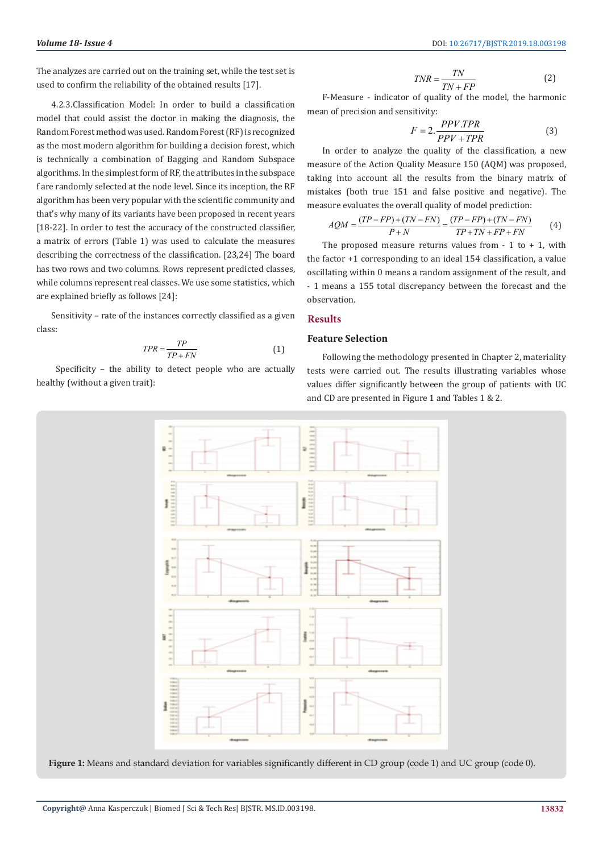The analyzes are carried out on the training set, while the test set is used to confirm the reliability of the obtained results [17].

4.2.3.Classification Model: In order to build a classification model that could assist the doctor in making the diagnosis, the Random Forest method was used. Random Forest (RF) is recognized as the most modern algorithm for building a decision forest, which is technically a combination of Bagging and Random Subspace algorithms. In the simplest form of RF, the attributes in the subspace f are randomly selected at the node level. Since its inception, the RF algorithm has been very popular with the scientific community and that's why many of its variants have been proposed in recent years [18-22]. In order to test the accuracy of the constructed classifier, a matrix of errors (Table 1) was used to calculate the measures describing the correctness of the classification. [23,24] The board has two rows and two columns. Rows represent predicted classes, while columns represent real classes. We use some statistics, which are explained briefly as follows [24]:

Sensitivity – rate of the instances correctly classified as a given class:

$$
TPR = \frac{TP}{TP + FN} \tag{1}
$$

 Specificity – the ability to detect people who are actually healthy (without a given trait):

$$
TNR = \frac{TN}{TN + FP}
$$
 (2)

F-Measure - indicator of quality of the model, the harmonic mean of precision and sensitivity:

$$
F = 2. \frac{PPV.TPR}{PPV + TPR}
$$
 (3)

In order to analyze the quality of the classification, a new measure of the Action Quality Measure 150 (AQM) was proposed, taking into account all the results from the binary matrix of mistakes (both true 151 and false positive and negative). The measure evaluates the overall quality of model prediction:

$$
AQM = \frac{(TP - FP) + (TN - FN)}{P + N} = \frac{(TP - FP) + (TN - FN)}{TP + TN + FP + FN}
$$
 (4)

The proposed measure returns values from  $-1$  to  $+1$ , with the factor +1 corresponding to an ideal 154 classification, a value oscillating within 0 means a random assignment of the result, and - 1 means a 155 total discrepancy between the forecast and the observation.

# **Results**

# **Feature Selection**

Following the methodology presented in Chapter 2, materiality tests were carried out. The results illustrating variables whose values differ significantly between the group of patients with UC and CD are presented in Figure 1 and Tables 1 & 2.



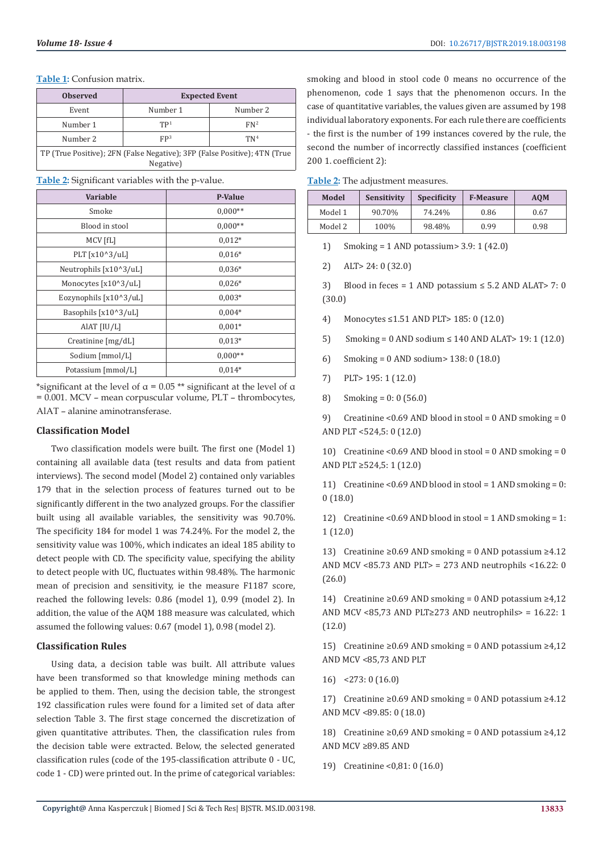#### **Table 1:** Confusion matrix.

| <b>Observed</b>                                                                        | <b>Expected Event</b> |                 |  |  |
|----------------------------------------------------------------------------------------|-----------------------|-----------------|--|--|
| Event                                                                                  | Number 1              | Number 2        |  |  |
| Number 1                                                                               | TP <sup>1</sup>       | FN <sup>2</sup> |  |  |
| Number 2                                                                               | FP <sup>3</sup>       | TN <sup>4</sup> |  |  |
| TP (True Positive); 2FN (False Negative); 3FP (False Positive); 4TN (True<br>Negative) |                       |                 |  |  |

**Table 2:** Significant variables with the p-value.

| <b>Variable</b>        | <b>P-Value</b> |  |
|------------------------|----------------|--|
| Smoke                  | $0,000**$      |  |
| Blood in stool         | $0,000**$      |  |
| MCV [fL]               | $0.012*$       |  |
| PLT [x10^3/uL]         | $0.016*$       |  |
| Neutrophils [x10^3/uL] | $0,036*$       |  |
| Monocytes [x10^3/uL]   | $0,026*$       |  |
| Eozynophils [x10^3/uL] | $0,003*$       |  |
| Basophils [x10^3/uL]   | $0,004*$       |  |
| AIAT [IU/L]            | $0.001*$       |  |
| Creatinine [mg/dL]     | $0.013*$       |  |
| Sodium [mmol/L]        | $0,000**$      |  |
| Potassium [mmol/L]     | $0.014*$       |  |

\*significant at the level of  $\alpha$  = 0.05 \*\* significant at the level of  $\alpha$ = 0.001. MCV – mean corpuscular volume, PLT – thrombocytes, AlAT – alanine aminotransferase.

## **Classification Model**

Two classification models were built. The first one (Model 1) containing all available data (test results and data from patient interviews). The second model (Model 2) contained only variables 179 that in the selection process of features turned out to be significantly different in the two analyzed groups. For the classifier built using all available variables, the sensitivity was 90.70%. The specificity 184 for model 1 was 74.24%. For the model 2, the sensitivity value was 100%, which indicates an ideal 185 ability to detect people with CD. The specificity value, specifying the ability to detect people with UC, fluctuates within 98.48%. The harmonic mean of precision and sensitivity, ie the measure F1187 score, reached the following levels: 0.86 (model 1), 0.99 (model 2). In addition, the value of the AQM 188 measure was calculated, which assumed the following values: 0.67 (model 1), 0.98 (model 2).

### **Classification Rules**

Using data, a decision table was built. All attribute values have been transformed so that knowledge mining methods can be applied to them. Then, using the decision table, the strongest 192 classification rules were found for a limited set of data after selection Table 3. The first stage concerned the discretization of given quantitative attributes. Then, the classification rules from the decision table were extracted. Below, the selected generated classification rules (code of the 195-classification attribute 0 - UC, code 1 - CD) were printed out. In the prime of categorical variables:

smoking and blood in stool code 0 means no occurrence of the phenomenon, code 1 says that the phenomenon occurs. In the case of quantitative variables, the values given are assumed by 198 individual laboratory exponents. For each rule there are coefficients - the first is the number of 199 instances covered by the rule, the second the number of incorrectly classified instances (coefficient 200 1. coefficient 2):

|  | Table 2: The adjustment measures. |
|--|-----------------------------------|
|--|-----------------------------------|

| Model   | Sensitivity | <b>Specificity</b> | <b>F-Measure</b> | <b>AOM</b> |
|---------|-------------|--------------------|------------------|------------|
| Model 1 | 90.70%      | 74.24%             | 0.86             | 0.67       |
| Model 2 | 100%        | 98.48%             | 0.99             | 0.98       |

1) Smoking = 1 AND potassium> 3.9: 1 (42.0)

2) ALT> 24: 0 (32.0)

3) Blood in feces = 1 AND potassium  $\leq$  5.2 AND ALAT > 7: 0 (30.0)

- 4) Monocytes ≤1.51 AND PLT> 185: 0 (12.0)
- 5) Smoking = 0 AND sodium ≤ 140 AND ALAT> 19: 1 (12.0)
- 6) Smoking = 0 AND sodium> 138: 0 (18.0)
- 7) PLT> 195: 1 (12.0)
- 8) Smoking = 0: 0 (56.0)

9) Creatinine <0.69 AND blood in stool = 0 AND smoking = 0 AND PLT <524,5: 0 (12.0)

10) Creatinine <0.69 AND blood in stool = 0 AND smoking = 0 AND PLT ≥524,5: 1 (12.0)

11) Creatinine <  $0.69$  AND blood in stool = 1 AND smoking = 0: 0 (18.0)

12) Creatinine <0.69 AND blood in stool = 1 AND smoking = 1: 1 (12.0)

13) Creatinine ≥0.69 AND smoking = 0 AND potassium ≥4.12 AND MCV <85.73 AND PLT> = 273 AND neutrophils <16.22: 0 (26.0)

14) Creatinine ≥0.69 AND smoking = 0 AND potassium ≥4,12 AND MCV <85,73 AND PLT≥273 AND neutrophils> =  $16.22: 1$ (12.0)

15) Creatinine ≥0.69 AND smoking = 0 AND potassium ≥4,12 AND MCV <85,73 AND PLT

16) <273: 0 (16.0)

17) Creatinine ≥0.69 AND smoking = 0 AND potassium ≥4.12 AND MCV <89.85: 0 (18.0)

18) Creatinine ≥0,69 AND smoking = 0 AND potassium ≥4,12 AND MCV ≥89.85 AND

19) Creatinine <0,81: 0 (16.0)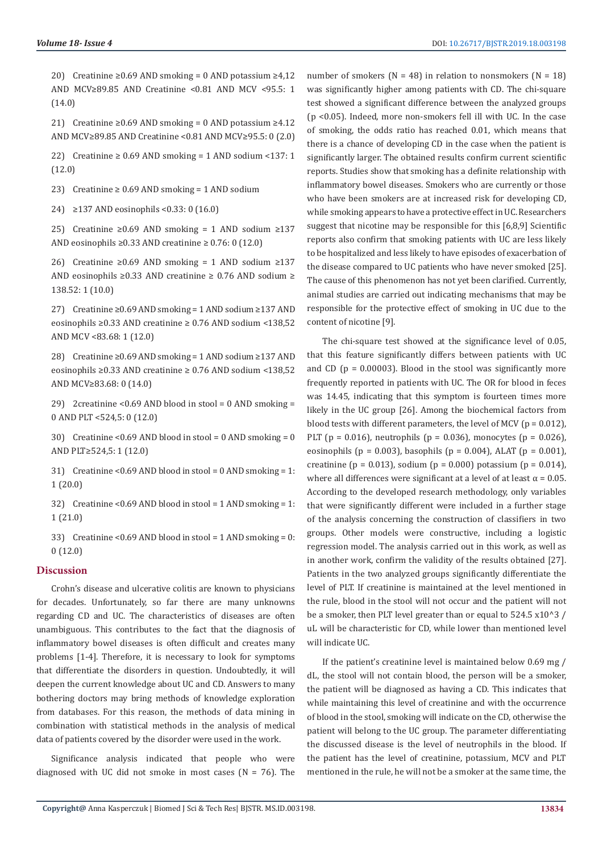20) Creatinine ≥0.69 AND smoking = 0 AND potassium ≥4.12 AND MCV≥89.85 AND Creatinine <0.81 AND MCV <95.5: 1 (14.0)

21) Creatinine ≥0.69 AND smoking = 0 AND potassium ≥4.12 AND MCV≥89.85 AND Creatinine <0.81 AND MCV≥95.5: 0 (2.0)

22) Creatinine  $\geq 0.69$  AND smoking = 1 AND sodium <137: 1 (12.0)

23) Creatinine  $\geq 0.69$  AND smoking = 1 AND sodium

24) ≥137 AND eosinophils <0.33: 0 (16.0)

25) Creatinine ≥0.69 AND smoking = 1 AND sodium ≥137 AND eosinophils  $\geq$  0.33 AND creatinine  $\geq$  0.76: 0 (12.0)

26) Creatinine ≥0.69 AND smoking = 1 AND sodium ≥137 AND eosinophils ≥0.33 AND creatinine ≥ 0.76 AND sodium ≥ 138.52: 1 (10.0)

27) Creatinine ≥0.69 AND smoking = 1 AND sodium ≥137 AND eosinophils ≥0.33 AND creatinine ≥ 0.76 AND sodium <138,52 AND MCV <83.68: 1 (12.0)

28) Creatinine ≥0.69 AND smoking = 1 AND sodium ≥137 AND eosinophils ≥0.33 AND creatinine ≥ 0.76 AND sodium <138,52 AND MCV≥83.68: 0 (14.0)

29) 2creatinine <0.69 AND blood in stool = 0 AND smoking = 0 AND PLT <524,5: 0 (12.0)

30) Creatinine <0.69 AND blood in stool = 0 AND smoking = 0 AND PLT≥524,5: 1 (12.0)

31) Creatinine <0.69 AND blood in stool = 0 AND smoking = 1: 1 (20.0)

32) Creatinine <0.69 AND blood in stool = 1 AND smoking = 1: 1 (21.0)

33) Creatinine <0.69 AND blood in stool = 1 AND smoking = 0: 0 (12.0)

#### **Discussion**

Crohn's disease and ulcerative colitis are known to physicians for decades. Unfortunately, so far there are many unknowns regarding CD and UC. The characteristics of diseases are often unambiguous. This contributes to the fact that the diagnosis of inflammatory bowel diseases is often difficult and creates many problems [1-4]. Therefore, it is necessary to look for symptoms that differentiate the disorders in question. Undoubtedly, it will deepen the current knowledge about UC and CD. Answers to many bothering doctors may bring methods of knowledge exploration from databases. For this reason, the methods of data mining in combination with statistical methods in the analysis of medical data of patients covered by the disorder were used in the work.

Significance analysis indicated that people who were diagnosed with UC did not smoke in most cases ( $N = 76$ ). The

number of smokers ( $N = 48$ ) in relation to nonsmokers ( $N = 18$ ) was significantly higher among patients with CD. The chi-square test showed a significant difference between the analyzed groups (p <0.05). Indeed, more non-smokers fell ill with UC. In the case of smoking, the odds ratio has reached 0.01, which means that there is a chance of developing CD in the case when the patient is significantly larger. The obtained results confirm current scientific reports. Studies show that smoking has a definite relationship with inflammatory bowel diseases. Smokers who are currently or those who have been smokers are at increased risk for developing CD, while smoking appears to have a protective effect in UC. Researchers suggest that nicotine may be responsible for this [6,8,9] Scientific reports also confirm that smoking patients with UC are less likely to be hospitalized and less likely to have episodes of exacerbation of the disease compared to UC patients who have never smoked [25]. The cause of this phenomenon has not yet been clarified. Currently, animal studies are carried out indicating mechanisms that may be responsible for the protective effect of smoking in UC due to the content of nicotine [9].

The chi-square test showed at the significance level of 0.05, that this feature significantly differs between patients with UC and CD ( $p = 0.00003$ ). Blood in the stool was significantly more frequently reported in patients with UC. The OR for blood in feces was 14.45, indicating that this symptom is fourteen times more likely in the UC group [26]. Among the biochemical factors from blood tests with different parameters, the level of MCV ( $p = 0.012$ ), PLT ( $p = 0.016$ ), neutrophils ( $p = 0.036$ ), monocytes ( $p = 0.026$ ), eosinophils (p = 0.003), basophils (p = 0.004), ALAT (p = 0.001), creatinine (p = 0.013), sodium (p = 0.000) potassium (p = 0.014), where all differences were significant at a level of at least  $\alpha$  = 0.05. According to the developed research methodology, only variables that were significantly different were included in a further stage of the analysis concerning the construction of classifiers in two groups. Other models were constructive, including a logistic regression model. The analysis carried out in this work, as well as in another work, confirm the validity of the results obtained [27]. Patients in the two analyzed groups significantly differentiate the level of PLT. If creatinine is maintained at the level mentioned in the rule, blood in the stool will not occur and the patient will not be a smoker, then PLT level greater than or equal to 524.5 x10^3 / uL will be characteristic for CD, while lower than mentioned level will indicate UC.

If the patient's creatinine level is maintained below 0.69 mg / dL, the stool will not contain blood, the person will be a smoker, the patient will be diagnosed as having a CD. This indicates that while maintaining this level of creatinine and with the occurrence of blood in the stool, smoking will indicate on the CD, otherwise the patient will belong to the UC group. The parameter differentiating the discussed disease is the level of neutrophils in the blood. If the patient has the level of creatinine, potassium, MCV and PLT mentioned in the rule, he will not be a smoker at the same time, the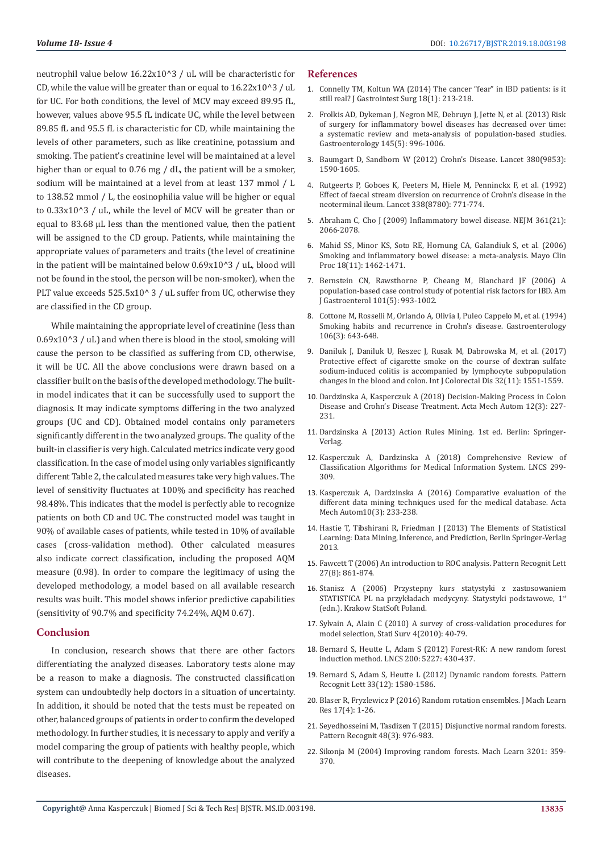neutrophil value below 16.22x10^3 / uL will be characteristic for CD, while the value will be greater than or equal to  $16.22 \times 10^{8}$  / uL for UC. For both conditions, the level of MCV may exceed 89.95 fL, however, values above 95.5 fL indicate UC, while the level between 89.85 fL and 95.5 fL is characteristic for CD, while maintaining the levels of other parameters, such as like creatinine, potassium and smoking. The patient's creatinine level will be maintained at a level higher than or equal to 0.76 mg / dL, the patient will be a smoker, sodium will be maintained at a level from at least 137 mmol / L to 138.52 mmol / L, the eosinophilia value will be higher or equal to 0.33x10^3 / uL, while the level of MCV will be greater than or equal to 83.68 μL less than the mentioned value, then the patient will be assigned to the CD group. Patients, while maintaining the appropriate values of parameters and traits (the level of creatinine in the patient will be maintained below  $0.69x10^{\circ}3$  / uL, blood will not be found in the stool, the person will be non-smoker), when the PLT value exceeds 525.5x10^ 3 / uL suffer from UC, otherwise they are classified in the CD group.

While maintaining the appropriate level of creatinine (less than  $0.69x10^{\circ}3$  / uL) and when there is blood in the stool, smoking will cause the person to be classified as suffering from CD, otherwise, it will be UC. All the above conclusions were drawn based on a classifier built on the basis of the developed methodology. The builtin model indicates that it can be successfully used to support the diagnosis. It may indicate symptoms differing in the two analyzed groups (UC and CD). Obtained model contains only parameters significantly different in the two analyzed groups. The quality of the built-in classifier is very high. Calculated metrics indicate very good classification. In the case of model using only variables significantly different Table 2, the calculated measures take very high values. The level of sensitivity fluctuates at 100% and specificity has reached 98.48%. This indicates that the model is perfectly able to recognize patients on both CD and UC. The constructed model was taught in 90% of available cases of patients, while tested in 10% of available cases (cross-validation method). Other calculated measures also indicate correct classification, including the proposed AQM measure (0.98). In order to compare the legitimacy of using the developed methodology, a model based on all available research results was built. This model shows inferior predictive capabilities (sensitivity of 90.7% and specificity 74.24%, AQM 0.67).

### **Conclusion**

In conclusion, research shows that there are other factors differentiating the analyzed diseases. Laboratory tests alone may be a reason to make a diagnosis. The constructed classification system can undoubtedly help doctors in a situation of uncertainty. In addition, it should be noted that the tests must be repeated on other, balanced groups of patients in order to confirm the developed methodology. In further studies, it is necessary to apply and verify a model comparing the group of patients with healthy people, which will contribute to the deepening of knowledge about the analyzed diseases.

#### **References**

- 1. [Connelly TM, Koltun WA \(2014\) The cancer "fear" in IBD patients: is it](https://www.ncbi.nlm.nih.gov/pubmed/24002760) [still real? J Gastrointest Surg 18\(1\): 213-218.](https://www.ncbi.nlm.nih.gov/pubmed/24002760)
- 2. [Frolkis AD, Dykeman J, Negron ME, Debruyn J, Jette N, et al. \(2013\) Risk](https://www.ncbi.nlm.nih.gov/pubmed/23896172) [of surgery for inflammatory bowel diseases has decreased over time:](https://www.ncbi.nlm.nih.gov/pubmed/23896172) [a systematic review and meta-analysis of population-based studies.](https://www.ncbi.nlm.nih.gov/pubmed/23896172) [Gastroenterology 145\(5\): 996-1006.](https://www.ncbi.nlm.nih.gov/pubmed/23896172)
- 3. [Baumgart D, Sandborn W \(2012\) Crohn's Disease. Lancet 380\(9853\):](https://www.thelancet.com/journals/lancet/article/PIIS0140-6736(12)60026-9/fulltext) [1590-1605.](https://www.thelancet.com/journals/lancet/article/PIIS0140-6736(12)60026-9/fulltext)
- 4. [Rutgeerts P, Goboes K, Peeters M, Hiele M, Penninckx F, et al. \(1992\)](https://www.ncbi.nlm.nih.gov/pubmed/1681159) [Effect of faecal stream diversion on recurrence of Crohn's disease in the](https://www.ncbi.nlm.nih.gov/pubmed/1681159) [neoterminal ileum. Lancet 338\(8780\): 771-774.](https://www.ncbi.nlm.nih.gov/pubmed/1681159)
- 5. [Abraham C, Cho J \(2009\) Inflammatory bowel disease. NEJM 361\(21\):](https://www.ncbi.nlm.nih.gov/pubmed/19923578) [2066-2078.](https://www.ncbi.nlm.nih.gov/pubmed/19923578)
- 6. [Mahid SS, Minor KS, Soto RE, Hornung CA, Galandiuk S, et al. \(2006\)](https://www.ncbi.nlm.nih.gov/pubmed/17120402) [Smoking and inflammatory bowel disease: a meta-analysis. Mayo Clin](https://www.ncbi.nlm.nih.gov/pubmed/17120402) [Proc 18\(11\): 1462-1471.](https://www.ncbi.nlm.nih.gov/pubmed/17120402)
- 7. [Bernstein CN, Rawsthorne P, Cheang M, Blanchard JF \(2006\) A](https://www.ncbi.nlm.nih.gov/pubmed/16696783) [population-based case control study of potential risk factors for IBD. Am](https://www.ncbi.nlm.nih.gov/pubmed/16696783) [J Gastroenterol 101\(5\): 993-1002.](https://www.ncbi.nlm.nih.gov/pubmed/16696783)
- 8. [Cottone M, Rosselli M, Orlando A, Olivia I, Puleo Cappelo M, et al. \(1994\)](https://www.ncbi.nlm.nih.gov/pubmed/8119535) [Smoking habits and recurrence in Crohn's disease. Gastroenterology](https://www.ncbi.nlm.nih.gov/pubmed/8119535) [106\(3\): 643-648.](https://www.ncbi.nlm.nih.gov/pubmed/8119535)
- 9. [Daniluk J, Daniluk U, Reszec J, Rusak M, Dabrowska M, et al. \(2017\)](https://www.ncbi.nlm.nih.gov/pmc/articles/PMC5635083/) [Protective effect of cigarette smoke on the course of dextran sulfate](https://www.ncbi.nlm.nih.gov/pmc/articles/PMC5635083/) [sodium-induced colitis is accompanied by lymphocyte subpopulation](https://www.ncbi.nlm.nih.gov/pmc/articles/PMC5635083/) [changes in the blood and colon. Int J Colorectal Dis 32\(11\): 1551-1559.](https://www.ncbi.nlm.nih.gov/pmc/articles/PMC5635083/)
- 10. [Dardzinska A, Kasperczuk A \(2018\) Decision-Making Process in Colon](https://www.degruyter.com/downloadpdf/j/ama.2018.12.issue-3/ama-2018-0035/ama-2018-0035.pdf) [Disease and Crohn's Disease Treatment. Acta Mech Autom 12\(3\): 227-](https://www.degruyter.com/downloadpdf/j/ama.2018.12.issue-3/ama-2018-0035/ama-2018-0035.pdf) [231.](https://www.degruyter.com/downloadpdf/j/ama.2018.12.issue-3/ama-2018-0035/ama-2018-0035.pdf)
- 11. Dardzinska A (2013) Action Rules Mining. 1st ed. Berlin: Springer-Verlag.
- 12. [Kasperczuk A, Dardzinska A \(2018\) Comprehensive Review of](https://link.springer.com/chapter/10.1007/978-3-030-03192-3_23) [Classification Algorithms for Medical Information System. LNCS 299-](https://link.springer.com/chapter/10.1007/978-3-030-03192-3_23) [309.](https://link.springer.com/chapter/10.1007/978-3-030-03192-3_23)
- 13. [Kasperczuk A, Dardzinska A \(2016\) Comparative evaluation of the](https://content.sciendo.com/view/journals/ama/10/3/article-p233.xml) [different data mining techniques used for the medical database. Acta](https://content.sciendo.com/view/journals/ama/10/3/article-p233.xml) [Mech Autom10\(3\): 233-238.](https://content.sciendo.com/view/journals/ama/10/3/article-p233.xml)
- 14. Hastie T, Tibshirani R, Friedman J (2013) The Elements of Statistical Learning: Data Mining, Inference, and Prediction, Berlin Springer-Verlag 2013.
- 15. [Fawcett T \(2006\) An introduction to ROC analysis. Pattern Recognit Lett](https://www.sciencedirect.com/science/article/abs/pii/S016786550500303X) [27\(8\): 861-874.](https://www.sciencedirect.com/science/article/abs/pii/S016786550500303X)
- 16. [Stanisz A \(2006\) Przystepny kurs statystyki z zastosowaniem](https://www.statsoft.pl/ksiazki/przystepny-kurs-statystyki-z-zastosowaniem-statistica-pl-tom-1/) [STATISTICA PL na przykładach medycyny. Statystyki podstawowe, 1](https://www.statsoft.pl/ksiazki/przystepny-kurs-statystyki-z-zastosowaniem-statistica-pl-tom-1/)st [\(edn.\). Krakow StatSoft Poland.](https://www.statsoft.pl/ksiazki/przystepny-kurs-statystyki-z-zastosowaniem-statistica-pl-tom-1/)
- 17. [Sylvain A, Alain C \(2010\) A survey of cross-validation procedures for](https://projecteuclid.org/euclid.ssu/1268143839) [model selection, Stati Surv 4\(2010\): 40-79.](https://projecteuclid.org/euclid.ssu/1268143839)
- 18. [Bernard S, Heutte L, Adam S \(2012\) Forest-RK: A new random forest](https://hal.archives-ouvertes.fr/hal-00436367/document) [induction method. LNCS 200: 5227: 430-437.](https://hal.archives-ouvertes.fr/hal-00436367/document)
- 19. [Bernard S, Adam S, Heutte L \(2012\) Dynamic random forests. Pattern](https://hal.archives-ouvertes.fr/hal-00710083/document) [Recognit Lett 33\(12\): 1580-1586.](https://hal.archives-ouvertes.fr/hal-00710083/document)
- 20. [Blaser R, Fryzlewicz P \(2016\) Random rotation ensembles. J Mach Learn](http://www.jmlr.org/papers/v17/blaser16a.html) [Res 17\(4\): 1-26.](http://www.jmlr.org/papers/v17/blaser16a.html)
- 21. [Seyedhosseini M, Tasdizen T \(2015\) Disjunctive normal random forests.](https://www.sciencedirect.com/science/article/pii/S0031320314003379) [Pattern Recognit 48\(3\): 976-983.](https://www.sciencedirect.com/science/article/pii/S0031320314003379)
- 22. [Sikonja M \(2004\) Improving random forests. Mach Learn 3201: 359-](https://link.springer.com/chapter/10.1007/978-3-540-30115-8_34) [370.](https://link.springer.com/chapter/10.1007/978-3-540-30115-8_34)